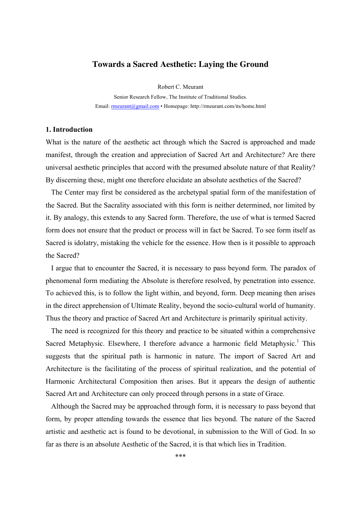# **Towards a Sacred Aesthetic: Laying the Ground**

Robert C. Meurant

Senior Research Fellow, The Institute of Traditional Studies. Email: rmeurant@gmail.com • Homepage: http://rmeurant.com/its/home.html

# **1. Introduction**

What is the nature of the aesthetic act through which the Sacred is approached and made manifest, through the creation and appreciation of Sacred Art and Architecture? Are there universal aesthetic principles that accord with the presumed absolute nature of that Reality? By discerning these, might one therefore elucidate an absolute aesthetics of the Sacred?

The Center may first be considered as the archetypal spatial form of the manifestation of the Sacred. But the Sacrality associated with this form is neither determined, nor limited by it. By analogy, this extends to any Sacred form. Therefore, the use of what is termed Sacred form does not ensure that the product or process will in fact be Sacred. To see form itself as Sacred is idolatry, mistaking the vehicle for the essence. How then is it possible to approach the Sacred?

I argue that to encounter the Sacred, it is necessary to pass beyond form. The paradox of phenomenal form mediating the Absolute is therefore resolved, by penetration into essence. To achieved this, is to follow the light within, and beyond, form. Deep meaning then arises in the direct apprehension of Ultimate Reality, beyond the socio-cultural world of humanity. Thus the theory and practice of Sacred Art and Architecture is primarily spiritual activity.

The need is recognized for this theory and practice to be situated within a comprehensive Sacred Metaphysic. Elsewhere, I therefore advance a harmonic field Metaphysic.<sup>1</sup> This suggests that the spiritual path is harmonic in nature. The import of Sacred Art and Architecture is the facilitating of the process of spiritual realization, and the potential of Harmonic Architectural Composition then arises. But it appears the design of authentic Sacred Art and Architecture can only proceed through persons in a state of Grace.

Although the Sacred may be approached through form, it is necessary to pass beyond that form, by proper attending towards the essence that lies beyond. The nature of the Sacred artistic and aesthetic act is found to be devotional, in submission to the Will of God. In so far as there is an absolute Aesthetic of the Sacred, it is that which lies in Tradition.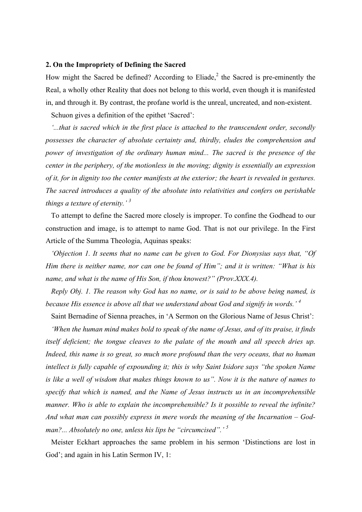## **2. On the Impropriety of Defining the Sacred**

How might the Sacred be defined? According to Eliade, $2$  the Sacred is pre-eminently the Real, a wholly other Reality that does not belong to this world, even though it is manifested in, and through it. By contrast, the profane world is the unreal, uncreated, and non-existent.

Schuon gives a definition of the epithet 'Sacred':

*'...that is sacred which in the first place is attached to the transcendent order, secondly possesses the character of absolute certainty and, thirdly, eludes the comprehension and power of investigation of the ordinary human mind... The sacred is the presence of the center in the periphery, of the motionless in the moving; dignity is essentially an expression of it, for in dignity too the center manifests at the exterior; the heart is revealed in gestures. The sacred introduces a quality of the absolute into relativities and confers on perishable things a texture of eternity.' 3*

To attempt to define the Sacred more closely is improper. To confine the Godhead to our construction and image, is to attempt to name God. That is not our privilege. In the First Article of the Summa Theologia, Aquinas speaks:

*'Objection 1. It seems that no name can be given to God. For Dionysius says that, "Of Him there is neither name, nor can one be found of Him"; and it is written: "What is his name, and what is the name of His Son, if thou knowest?" (Prov.XXX.4).*

*Reply Obj. 1. The reason why God has no name, or is said to be above being named, is because His essence is above all that we understand about God and signify in words.' 4*

Saint Bernadine of Sienna preaches, in 'A Sermon on the Glorious Name of Jesus Christ':

*'When the human mind makes bold to speak of the name of Jesus, and of its praise, it finds itself deficient; the tongue cleaves to the palate of the mouth and all speech dries up. Indeed, this name is so great, so much more profound than the very oceans, that no human intellect is fully capable of expounding it; this is why Saint Isidore says "the spoken Name is like a well of wisdom that makes things known to us". Now it is the nature of names to specify that which is named, and the Name of Jesus instructs us in an incomprehensible manner. Who is able to explain the incomprehensible? Is it possible to reveal the infinite? And what man can possibly express in mere words the meaning of the Incarnation – Godman?... Absolutely no one, unless his lips be "circumcised".' <sup>5</sup>*

Meister Eckhart approaches the same problem in his sermon 'Distinctions are lost in God'; and again in his Latin Sermon IV, 1: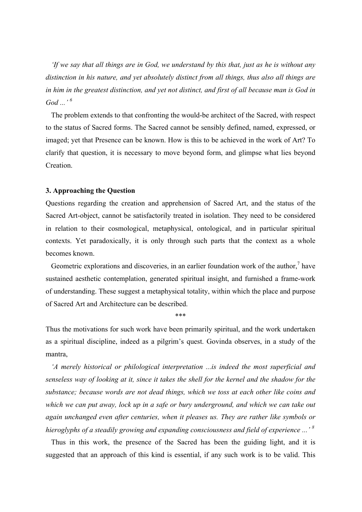*'If we say that all things are in God, we understand by this that, just as he is without any distinction in his nature, and yet absolutely distinct from all things, thus also all things are in him in the greatest distinction, and yet not distinct, and first of all because man is God in God ...' 6*

The problem extends to that confronting the would-be architect of the Sacred, with respect to the status of Sacred forms. The Sacred cannot be sensibly defined, named, expressed, or imaged; yet that Presence can be known. How is this to be achieved in the work of Art? To clarify that question, it is necessary to move beyond form, and glimpse what lies beyond Creation.

## **3. Approaching the Question**

Questions regarding the creation and apprehension of Sacred Art, and the status of the Sacred Art-object, cannot be satisfactorily treated in isolation. They need to be considered in relation to their cosmological, metaphysical, ontological, and in particular spiritual contexts. Yet paradoxically, it is only through such parts that the context as a whole becomes known.

Geometric explorations and discoveries, in an earlier foundation work of the author,<sup>7</sup> have sustained aesthetic contemplation, generated spiritual insight, and furnished a frame-work of understanding. These suggest a metaphysical totality, within which the place and purpose of Sacred Art and Architecture can be described.

\*\*\*

Thus the motivations for such work have been primarily spiritual, and the work undertaken as a spiritual discipline, indeed as a pilgrim's quest. Govinda observes, in a study of the mantra,

*'A merely historical or philological interpretation ...is indeed the most superficial and senseless way of looking at it, since it takes the shell for the kernel and the shadow for the substance; because words are not dead things, which we toss at each other like coins and which we can put away, lock up in a safe or bury underground, and which we can take out again unchanged even after centuries, when it pleases us. They are rather like symbols or hieroglyphs of a steadily growing and expanding consciousness and field of experience ...' <sup>8</sup>*

Thus in this work, the presence of the Sacred has been the guiding light, and it is suggested that an approach of this kind is essential, if any such work is to be valid. This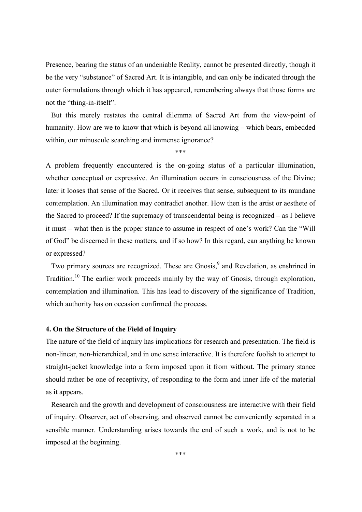Presence, bearing the status of an undeniable Reality, cannot be presented directly, though it be the very "substance" of Sacred Art. It is intangible, and can only be indicated through the outer formulations through which it has appeared, remembering always that those forms are not the "thing-in-itself".

But this merely restates the central dilemma of Sacred Art from the view-point of humanity. How are we to know that which is beyond all knowing – which bears, embedded within, our minuscule searching and immense ignorance?

\*\*\*

A problem frequently encountered is the on-going status of a particular illumination, whether conceptual or expressive. An illumination occurs in consciousness of the Divine; later it looses that sense of the Sacred. Or it receives that sense, subsequent to its mundane contemplation. An illumination may contradict another. How then is the artist or aesthete of the Sacred to proceed? If the supremacy of transcendental being is recognized – as I believe it must – what then is the proper stance to assume in respect of one's work? Can the "Will of God" be discerned in these matters, and if so how? In this regard, can anything be known or expressed?

Two primary sources are recognized. These are Gnosis,<sup>9</sup> and Revelation, as enshrined in Tradition.<sup>10</sup> The earlier work proceeds mainly by the way of Gnosis, through exploration, contemplation and illumination. This has lead to discovery of the significance of Tradition, which authority has on occasion confirmed the process.

## **4. On the Structure of the Field of Inquiry**

The nature of the field of inquiry has implications for research and presentation. The field is non-linear, non-hierarchical, and in one sense interactive. It is therefore foolish to attempt to straight-jacket knowledge into a form imposed upon it from without. The primary stance should rather be one of receptivity, of responding to the form and inner life of the material as it appears.

Research and the growth and development of consciousness are interactive with their field of inquiry. Observer, act of observing, and observed cannot be conveniently separated in a sensible manner. Understanding arises towards the end of such a work, and is not to be imposed at the beginning.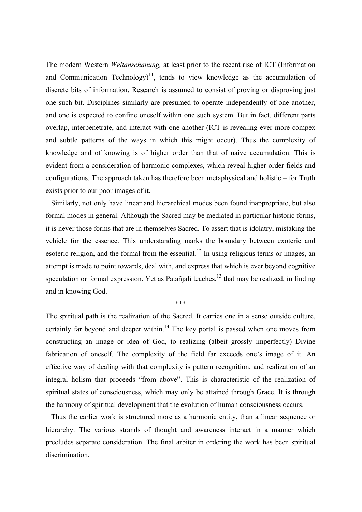The modern Western *Weltanschauung,* at least prior to the recent rise of ICT (Information and Communication Technology)<sup>11</sup>, tends to view knowledge as the accumulation of discrete bits of information. Research is assumed to consist of proving or disproving just one such bit. Disciplines similarly are presumed to operate independently of one another, and one is expected to confine oneself within one such system. But in fact, different parts overlap, interpenetrate, and interact with one another (ICT is revealing ever more compex and subtle patterns of the ways in which this might occur). Thus the complexity of knowledge and of knowing is of higher order than that of naive accumulation. This is evident from a consideration of harmonic complexes, which reveal higher order fields and configurations. The approach taken has therefore been metaphysical and holistic – for Truth exists prior to our poor images of it.

Similarly, not only have linear and hierarchical modes been found inappropriate, but also formal modes in general. Although the Sacred may be mediated in particular historic forms, it is never those forms that are in themselves Sacred. To assert that is idolatry, mistaking the vehicle for the essence. This understanding marks the boundary between exoteric and esoteric religion, and the formal from the essential.<sup>12</sup> In using religious terms or images, an attempt is made to point towards, deal with, and express that which is ever beyond cognitive speculation or formal expression. Yet as Patañjali teaches, $13$  that may be realized, in finding and in knowing God.

\*\*\*

The spiritual path is the realization of the Sacred. It carries one in a sense outside culture, certainly far beyond and deeper within.<sup>14</sup> The key portal is passed when one moves from constructing an image or idea of God, to realizing (albeit grossly imperfectly) Divine fabrication of oneself. The complexity of the field far exceeds one's image of it. An effective way of dealing with that complexity is pattern recognition, and realization of an integral holism that proceeds "from above". This is characteristic of the realization of spiritual states of consciousness, which may only be attained through Grace. It is through the harmony of spiritual development that the evolution of human consciousness occurs.

Thus the earlier work is structured more as a harmonic entity, than a linear sequence or hierarchy. The various strands of thought and awareness interact in a manner which precludes separate consideration. The final arbiter in ordering the work has been spiritual discrimination.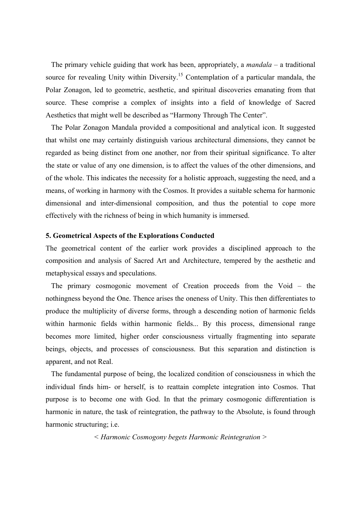The primary vehicle guiding that work has been, appropriately, a *mandala* – a traditional source for revealing Unity within Diversity.<sup>15</sup> Contemplation of a particular mandala, the Polar Zonagon, led to geometric, aesthetic, and spiritual discoveries emanating from that source. These comprise a complex of insights into a field of knowledge of Sacred Aesthetics that might well be described as "Harmony Through The Center".

The Polar Zonagon Mandala provided a compositional and analytical icon. It suggested that whilst one may certainly distinguish various architectural dimensions, they cannot be regarded as being distinct from one another, nor from their spiritual significance. To alter the state or value of any one dimension, is to affect the values of the other dimensions, and of the whole. This indicates the necessity for a holistic approach, suggesting the need, and a means, of working in harmony with the Cosmos. It provides a suitable schema for harmonic dimensional and inter-dimensional composition, and thus the potential to cope more effectively with the richness of being in which humanity is immersed.

## **5. Geometrical Aspects of the Explorations Conducted**

The geometrical content of the earlier work provides a disciplined approach to the composition and analysis of Sacred Art and Architecture, tempered by the aesthetic and metaphysical essays and speculations.

The primary cosmogonic movement of Creation proceeds from the Void – the nothingness beyond the One. Thence arises the oneness of Unity. This then differentiates to produce the multiplicity of diverse forms, through a descending notion of harmonic fields within harmonic fields within harmonic fields... By this process, dimensional range becomes more limited, higher order consciousness virtually fragmenting into separate beings, objects, and processes of consciousness. But this separation and distinction is apparent, and not Real.

The fundamental purpose of being, the localized condition of consciousness in which the individual finds him- or herself, is to reattain complete integration into Cosmos. That purpose is to become one with God. In that the primary cosmogonic differentiation is harmonic in nature, the task of reintegration, the pathway to the Absolute, is found through harmonic structuring; i.e.

*< Harmonic Cosmogony begets Harmonic Reintegration >*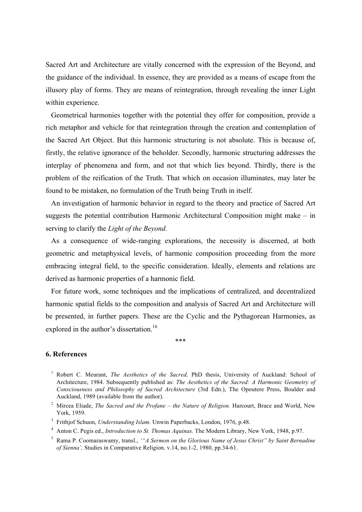Sacred Art and Architecture are vitally concerned with the expression of the Beyond, and the guidance of the individual. In essence, they are provided as a means of escape from the illusory play of forms. They are means of reintegration, through revealing the inner Light within experience.

Geometrical harmonies together with the potential they offer for composition, provide a rich metaphor and vehicle for that reintegration through the creation and contemplation of the Sacred Art Object. But this harmonic structuring is not absolute. This is because of, firstly, the relative ignorance of the beholder. Secondly, harmonic structuring addresses the interplay of phenomena and form, and not that which lies beyond. Thirdly, there is the problem of the reification of the Truth. That which on occasion illuminates, may later be found to be mistaken, no formulation of the Truth being Truth in itself.

An investigation of harmonic behavior in regard to the theory and practice of Sacred Art suggests the potential contribution Harmonic Architectural Composition might make – in serving to clarify the *Light of the Beyond.*

As a consequence of wide-ranging explorations, the necessity is discerned, at both geometric and metaphysical levels, of harmonic composition proceeding from the more embracing integral field, to the specific consideration. Ideally, elements and relations are derived as harmonic properties of a harmonic field.

For future work, some techniques and the implications of centralized, and decentralized harmonic spatial fields to the composition and analysis of Sacred Art and Architecture will be presented, in further papers. These are the Cyclic and the Pythagorean Harmonies, as explored in the author's dissertation.<sup>16</sup>

\*\*\*

# **6. References**

<sup>1</sup> Robert C. Meurant, *The Aesthetics of the Sacred,* PhD thesis, University of Auckland: School of Architecture, 1984. Subsequently published as: *The Aesthetics of the Sacred: A Harmonic Geometry of Consciousness and Philosophy of Sacred Architecture* (3rd Edn.), The Opoutere Press, Boulder and Auckland, 1989 (available from the author).

<sup>2</sup> Mircea Eliade, *The Sacred and the Profane – the Nature of Religion.* Harcourt, Brace and World, New York, 1959.

<sup>3</sup> Frithjof Schuon, *Understanding Islam.* Unwin Paperbacks, London, 1976, p.48.

<sup>4</sup> Anton C. Pegis ed., *Introduction to St. Thomas Aquinas.* The Modern Library, New York, 1948, p.97.

<sup>5</sup> Rama P. Coomaraswamy, transl., *'"A Sermon on the Glorious Name of Jesus Christ" by Saint Bernadine of Sienna',* Studies in Comparative Religion. v.14, no.1-2, 1980, pp.34-61.